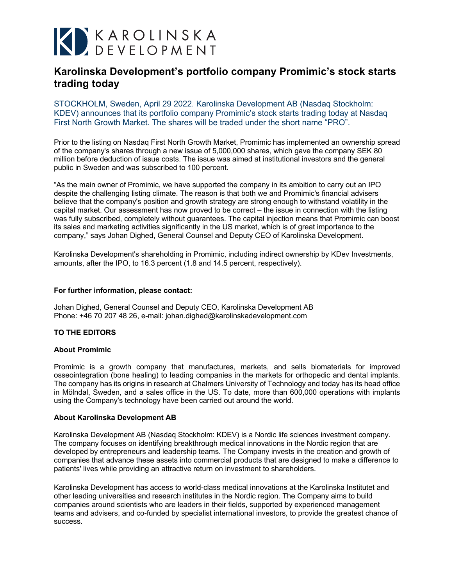# K KAROLINSKA

## **Karolinska Development's portfolio company Promimic's stock starts trading today**

STOCKHOLM, Sweden, April 29 2022. Karolinska Development AB (Nasdaq Stockholm: KDEV) announces that its portfolio company Promimic's stock starts trading today at Nasdaq First North Growth Market. The shares will be traded under the short name "PRO".

Prior to the listing on Nasdaq First North Growth Market, Promimic has implemented an ownership spread of the company's shares through a new issue of 5,000,000 shares, which gave the company SEK 80 million before deduction of issue costs. The issue was aimed at institutional investors and the general public in Sweden and was subscribed to 100 percent.

"As the main owner of Promimic, we have supported the company in its ambition to carry out an IPO despite the challenging listing climate. The reason is that both we and Promimic's financial advisers believe that the company's position and growth strategy are strong enough to withstand volatility in the capital market. Our assessment has now proved to be correct – the issue in connection with the listing was fully subscribed, completely without guarantees. The capital injection means that Promimic can boost its sales and marketing activities significantly in the US market, which is of great importance to the company," says Johan Dighed, General Counsel and Deputy CEO of Karolinska Development.

Karolinska Development's shareholding in Promimic, including indirect ownership by KDev Investments, amounts, after the IPO, to 16.3 percent (1.8 and 14.5 percent, respectively).

### **For further information, please contact:**

Johan Dighed, General Counsel and Deputy CEO, Karolinska Development AB Phone: +46 70 207 48 26, e-mail: [johan.dighed@karolinskadevelopment.com](mailto:johan.dighed@karolinskadevelopment.com)

### **TO THE EDITORS**

### **About Promimic**

Promimic is a growth company that manufactures, markets, and sells biomaterials for improved osseointegration (bone healing) to leading companies in the markets for orthopedic and dental implants. The company has its origins in research at Chalmers University of Technology and today has its head office in Mölndal, Sweden, and a sales office in the US. To date, more than 600,000 operations with implants using the Company's technology have been carried out around the world.

### **About Karolinska Development AB**

Karolinska Development AB (Nasdaq Stockholm: KDEV) is a Nordic life sciences investment company. The company focuses on identifying breakthrough medical innovations in the Nordic region that are developed by entrepreneurs and leadership teams. The Company invests in the creation and growth of companies that advance these assets into commercial products that are designed to make a difference to patients' lives while providing an attractive return on investment to shareholders.

Karolinska Development has access to world-class medical innovations at the Karolinska Institutet and other leading universities and research institutes in the Nordic region. The Company aims to build companies around scientists who are leaders in their fields, supported by experienced management teams and advisers, and co-funded by specialist international investors, to provide the greatest chance of success.